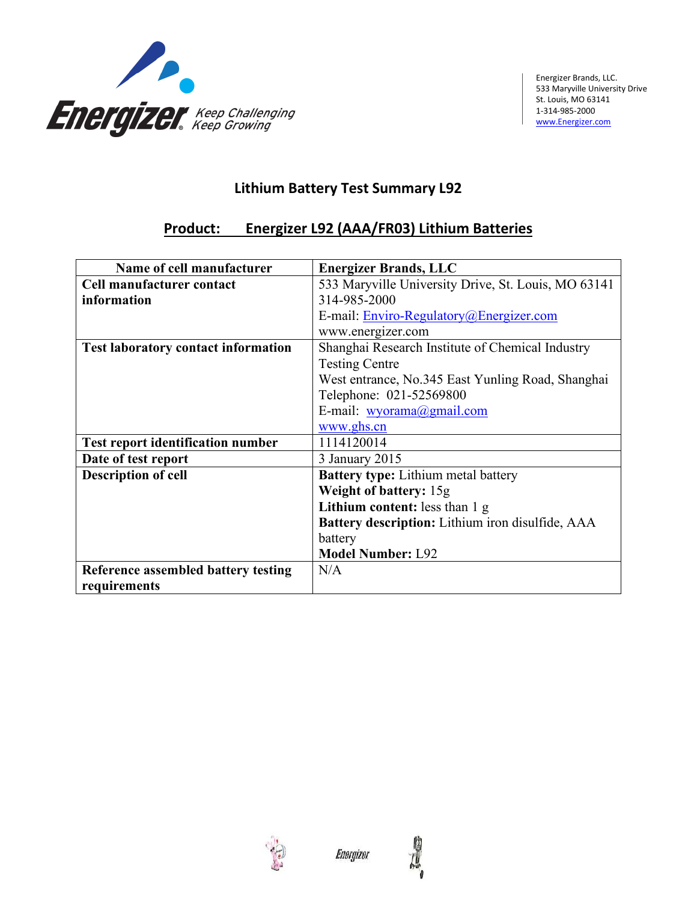

## **Lithium Battery Test Summary L92**

## **Product: Energizer L92 (AAA/FR03) Lithium Batteries**

| Name of cell manufacturer                  | <b>Energizer Brands, LLC</b>                        |  |
|--------------------------------------------|-----------------------------------------------------|--|
| Cell manufacturer contact                  | 533 Maryville University Drive, St. Louis, MO 63141 |  |
| information                                | 314-985-2000                                        |  |
|                                            | E-mail: Enviro-Regulatory@Energizer.com             |  |
|                                            | www.energizer.com                                   |  |
| <b>Test laboratory contact information</b> | Shanghai Research Institute of Chemical Industry    |  |
|                                            | <b>Testing Centre</b>                               |  |
|                                            | West entrance, No.345 East Yunling Road, Shanghai   |  |
|                                            | Telephone: 021-52569800                             |  |
|                                            | E-mail: wyorama@gmail.com                           |  |
|                                            | www.ghs.cn                                          |  |
| <b>Test report identification number</b>   | 1114120014                                          |  |
| Date of test report                        | 3 January 2015                                      |  |
| <b>Description of cell</b>                 | <b>Battery type:</b> Lithium metal battery          |  |
|                                            | Weight of battery: 15g                              |  |
|                                            | Lithium content: less than 1 g                      |  |
|                                            | Battery description: Lithium iron disulfide, AAA    |  |
|                                            | battery                                             |  |
|                                            | <b>Model Number: L92</b>                            |  |
| Reference assembled battery testing        | N/A                                                 |  |
| requirements                               |                                                     |  |